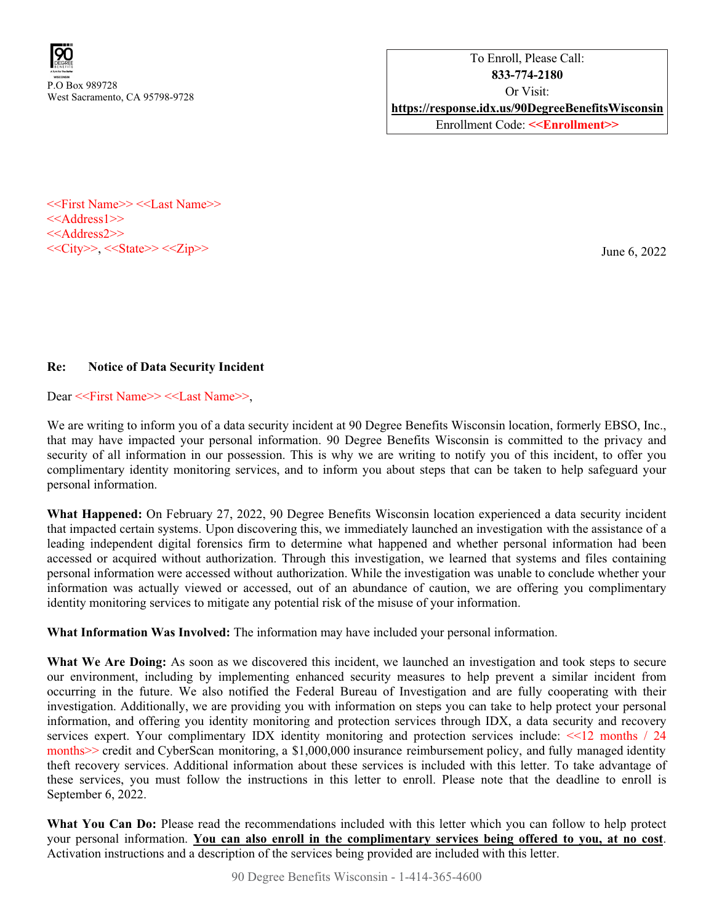

<<First Name>> <<Last Name>> <<Address1>> <<Address2>>  $<<$ City>>,  $<<$ State>> $<<$ Zip>>

June 6, 2022

## Re: Notice of Data Security Incident

Dear <<First Name>> <<Last Name>>,

We are writing to inform you of a data security incident at 90 Degree Benefits Wisconsin location, formerly EBSO, Inc., that may have impacted your personal information. 90 Degree Benefits Wisconsin is committed to the privacy and security of all information in our possession. This is why we are writing to notify you of this incident, to offer you complimentary identity monitoring services, and to inform you about steps that can be taken to help safeguard your personal information.

What Happened: On February 27, 2022, 90 Degree Benefits Wisconsin location experienced a data security incident that impacted certain systems. Upon discovering this, we immediately launched an investigation with the assistance of a leading independent digital forensics firm to determine what happened and whether personal information had been accessed or acquired without authorization. Through this investigation, we learned that systems and files containing personal information were accessed without authorization. While the investigation was unable to conclude whether your information was actually viewed or accessed, out of an abundance of caution, we are offering you complimentary identity monitoring services to mitigate any potential risk of the misuse of your information.

What Information Was Involved: The information may have included your personal information.

What We Are Doing: As soon as we discovered this incident, we launched an investigation and took steps to secure our environment, including by implementing enhanced security measures to help prevent a similar incident from occurring in the future. We also notified the Federal Bureau of Investigation and are fully cooperating with their investigation. Additionally, we are providing you with information on steps you can take to help protect your personal information, and offering you identity monitoring and protection services through IDX, a data security and recovery services expert. Your complimentary IDX identity monitoring and protection services include: <<12 months / 24 months>> credit and CyberScan monitoring, a \$1,000,000 insurance reimbursement policy, and fully managed identity theft recovery services. Additional information about these services is included with this letter. To take advantage of these services, you must follow the instructions in this letter to enroll. Please note that the deadline to enroll is September 6, 2022.

What You Can Do: Please read the recommendations included with this letter which you can follow to help protect your personal information. You can also enroll in the complimentary services being offered to you, at no cost. Activation instructions and a description of the services being provided are included with this letter.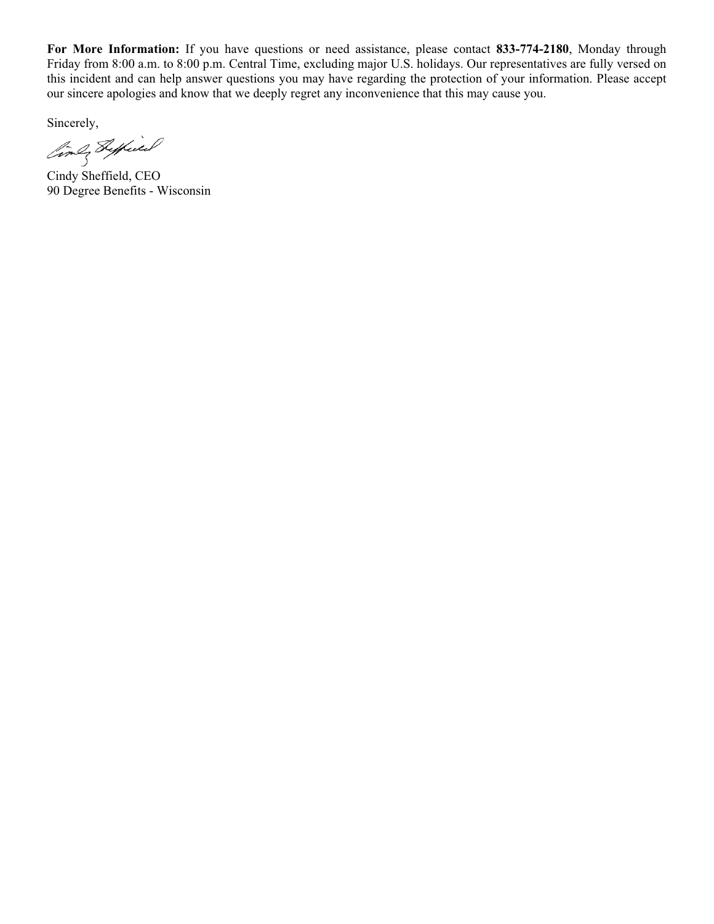For More Information: If you have questions or need assistance, please contact 833-774-2180, Monday through Friday from 8:00 a.m. to 8:00 p.m. Central Time, excluding major U.S. holidays. Our representatives are fully versed on this incident and can help answer questions you may have regarding the protection of your information. Please accept our sincere apologies and know that we deeply regret any inconvenience that this may cause you.

Sincerely,

Cindy Sheffield, CEO

90 Degree Benefits - Wisconsin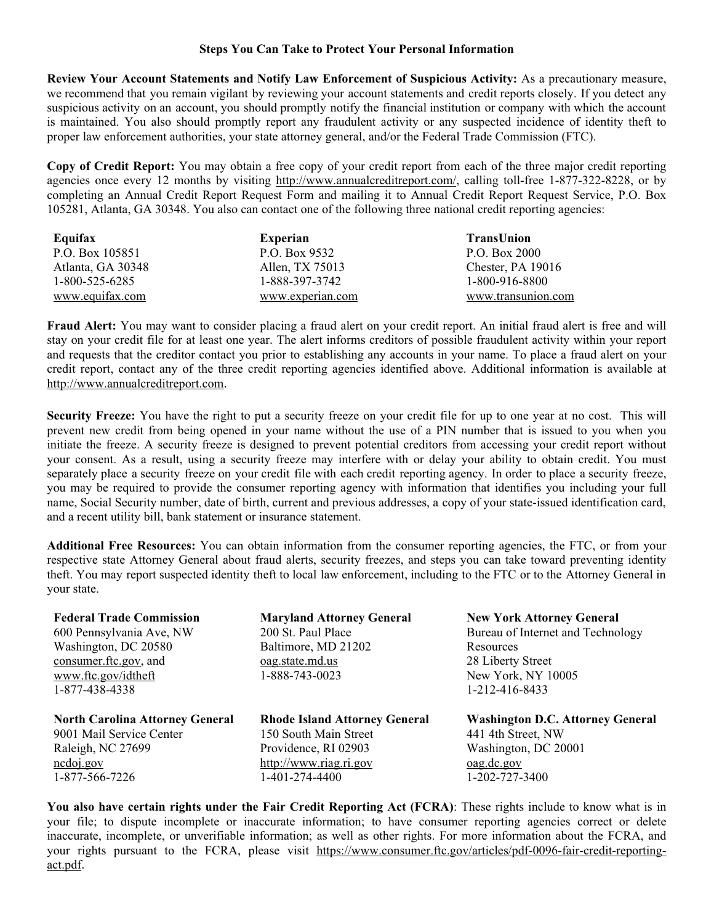## Steps You Can Take to Protect Your Personal Information

Review Your Account Statements and Notify Law Enforcement of Suspicious Activity: As a precautionary measure, we recommend that you remain vigilant by reviewing your account statements and credit reports closely. If you detect any suspicious activity on an account, you should promptly notify the financial institution or company with which the account is maintained. You also should promptly report any fraudulent activity or any suspected incidence of identity theft to proper law enforcement authorities, your state attorney general, and/or the Federal Trade Commission (FTC).

Copy of Credit Report: You may obtain a free copy of your credit report from each of the three major credit reporting agencies once every 12 months by visiting <http://www.annualcreditreport.com/>, calling toll-free 1-877-322-8228, or by completing an Annual Credit Report Request Form and mailing it to Annual Credit Report Request Service, P.O. Box 105281, Atlanta, GA 30348. You also can contact one of the following three national credit reporting agencies:

| Equifax           | Experian         | <b>TransUnion</b>  |
|-------------------|------------------|--------------------|
| P.O. Box 105851   | P.O. Box 9532    | P.O. Box 2000      |
| Atlanta, GA 30348 | Allen, TX 75013  | Chester, PA 19016  |
| 1-800-525-6285    | 1-888-397-3742   | 1-800-916-8800     |
| www.equifax.com   | www.experian.com | www.transunion.com |

Fraud Alert: You may want to consider placing a fraud alert on your credit report. An initial fraud alert is free and will stay on your credit file for at least one year. The alert informs creditors of possible fraudulent activity within your report and requests that the creditor contact you prior to establishing any accounts in your name. To place a fraud alert on your credit report, contact any of the three credit reporting agencies identified above. Additional information is available at [http://www.annualcreditreport.com.](http://www.annualcreditreport.com)

Security Freeze: You have the right to put a security freeze on your credit file for up to one year at no cost. This will prevent new credit from being opened in your name without the use of a PIN number that is issued to you when you initiate the freeze. A security freeze is designed to prevent potential creditors from accessing your credit report without your consent. As a result, using a security freeze may interfere with or delay your ability to obtain credit. You must separately place a security freeze on your credit file with each credit reporting agency. In order to place a security freeze, you may be required to provide the consumer reporting agency with information that identifies you including your full name, Social Security number, date of birth, current and previous addresses, a copy of your state-issued identification card, and a recent utility bill, bank statement or insurance statement.

Additional Free Resources: You can obtain information from the consumer reporting agencies, the FTC, or from your respective state Attorney General about fraud alerts, security freezes, and steps you can take toward preventing identity theft. You may report suspected identity theft to local law enforcement, including to the FTC or to the Attorney General in your state.

| <b>Federal Trade Commission</b><br>600 Pennsylvania Ave, NW<br>Washington, DC 20580<br>consumer.ftc.gov, and<br>www.ftc.gov/idtheft<br>1-877-438-4338 | <b>Maryland Attorney General</b><br>200 St. Paul Place<br>Baltimore, MD 21202<br>oag.state.md.us<br>1-888-743-0023 | <b>New York Attorney General</b><br>Bureau of Internet and Technology<br>Resources<br>28 Liberty Street<br>New York, NY 10005<br>1-212-416-8433 |
|-------------------------------------------------------------------------------------------------------------------------------------------------------|--------------------------------------------------------------------------------------------------------------------|-------------------------------------------------------------------------------------------------------------------------------------------------|
| <b>North Carolina Attorney General</b>                                                                                                                | <b>Rhode Island Attorney General</b>                                                                               | <b>Washington D.C. Attorney General</b>                                                                                                         |
| 9001 Mail Service Center                                                                                                                              | 150 South Main Street                                                                                              | 441 4th Street, NW                                                                                                                              |
| Raleigh, NC 27699                                                                                                                                     | Providence, RI 02903                                                                                               | Washington, DC 20001                                                                                                                            |
| ncdoj.gov                                                                                                                                             | http://www.riag.ri.gov                                                                                             | oag.dc.gov                                                                                                                                      |
| 1-877-566-7226                                                                                                                                        | 1-401-274-4400                                                                                                     | 1-202-727-3400                                                                                                                                  |

You also have certain rights under the Fair Credit Reporting Act (FCRA): These rights include to know what is in your file; to dispute incomplete or inaccurate information; to have consumer reporting agencies correct or delete inaccurate, incomplete, or unverifiable information; as well as other rights. For more information about the FCRA, and your rights pursuant to the FCRA, please visit https://www.consumer.ftc.gov/articles/pdf-0096-fair-credit-reportingact.pdf.